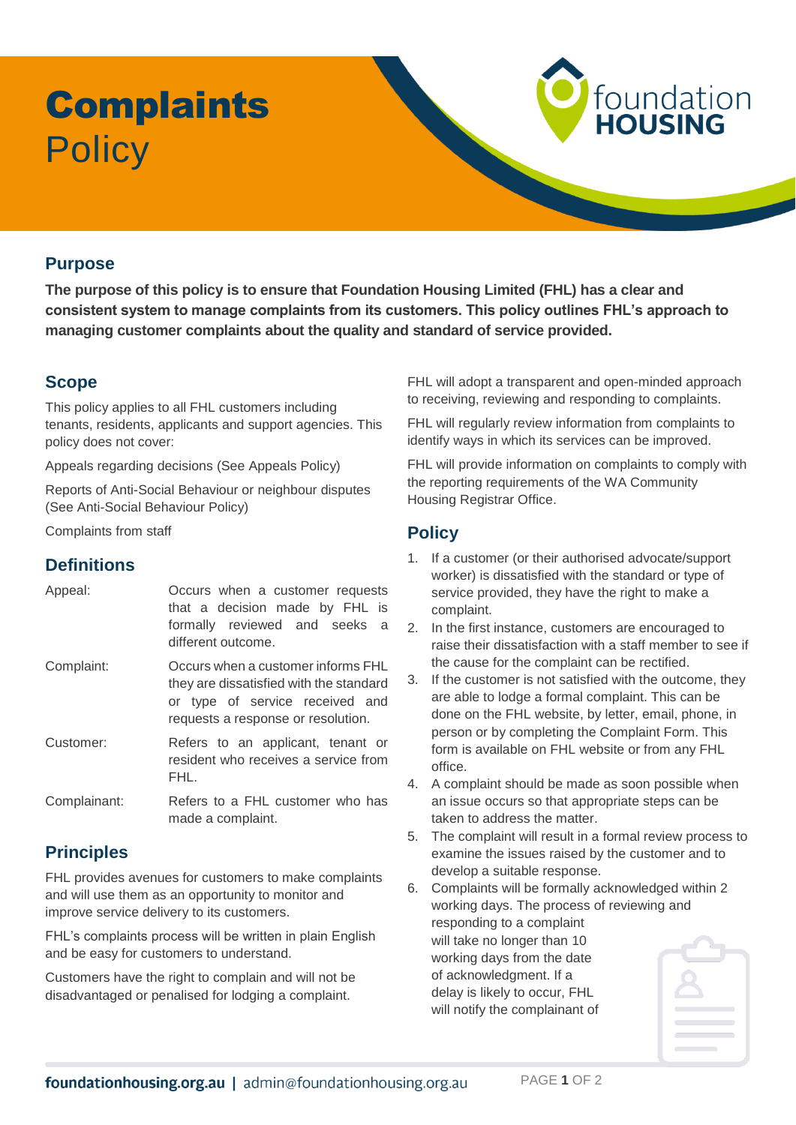# **Complaints Policy**

#### **Purpose**

**The purpose of this policy is to ensure that Foundation Housing Limited (FHL) has a clear and consistent system to manage complaints from its customers. This policy outlines FHL's approach to managing customer complaints about the quality and standard of service provided.** 

## **Scope**

This policy applies to all FHL customers including tenants, residents, applicants and support agencies. This policy does not cover:

Appeals regarding decisions (See Appeals Policy)

Reports of Anti-Social Behaviour or neighbour disputes (See Anti-Social Behaviour Policy)

Complaints from staff

#### **Definitions**

| Appeal:    | Occurs when a customer requests<br>that a decision made by FHL is<br>formally reviewed and seeks a<br>different outcome.                               |
|------------|--------------------------------------------------------------------------------------------------------------------------------------------------------|
| Complaint: | Occurs when a customer informs FHL<br>they are dissatisfied with the standard<br>or type of service received and<br>requests a response or resolution. |
| Customer:  | Refers to an annlicant tenant or                                                                                                                       |

applicant, ten resident who receives a service from FHL.

Complainant: Refers to a FHL customer who has made a complaint.

### **Principles**

FHL provides avenues for customers to make complaints and will use them as an opportunity to monitor and improve service delivery to its customers.

FHL's complaints process will be written in plain English and be easy for customers to understand.

Customers have the right to complain and will not be disadvantaged or penalised for lodging a complaint.

FHL will adopt a transparent and open-minded approach to receiving, reviewing and responding to complaints.

foundation<br>HOUSING

FHL will regularly review information from complaints to identify ways in which its services can be improved.

FHL will provide information on complaints to comply with the reporting requirements of the WA Community Housing Registrar Office.

#### **Policy**

- 1. If a customer (or their authorised advocate/support worker) is dissatisfied with the standard or type of service provided, they have the right to make a complaint.
- 2. In the first instance, customers are encouraged to raise their dissatisfaction with a staff member to see if the cause for the complaint can be rectified.
- 3. If the customer is not satisfied with the outcome, they are able to lodge a formal complaint. This can be done on the FHL website, by letter, email, phone, in person or by completing the Complaint Form. This form is available on FHL website or from any FHL office.
- 4. A complaint should be made as soon possible when an issue occurs so that appropriate steps can be taken to address the matter.
- 5. The complaint will result in a formal review process to examine the issues raised by the customer and to develop a suitable response.
- 6. Complaints will be formally acknowledged within 2 working days. The process of reviewing and responding to a complaint will take no longer than 10 working days from the date of acknowledgment. If a delay is likely to occur, FHL will notify the complainant of